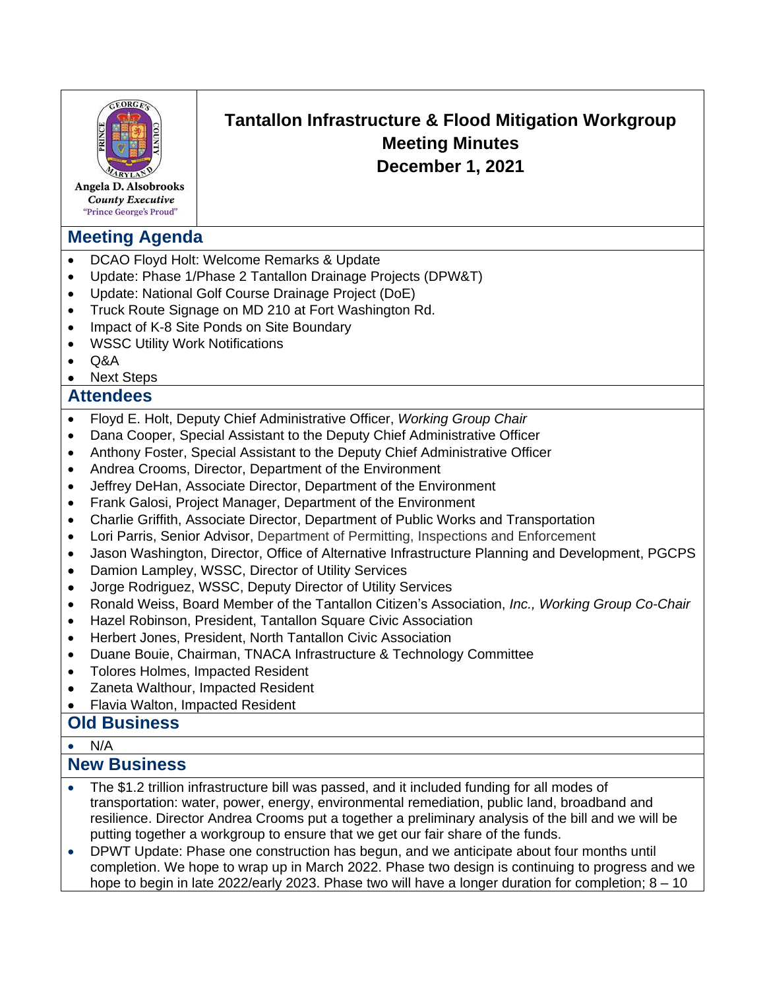| PRINC<br>Angela D. Alsobrooks<br><b>County Executive</b><br>"Prince George's Proud"                                                                                                                                                                                          | Tantallon Infrastructure & Flood Mitigation Workgroup<br><b>Meeting Minutes</b><br>December 1, 2021                                                                                                                                                                                                                                                                                                                                                                                                                                                                                                                                                                                                                                                                                                                                                                                                                                                                                                                                                                                                                                                                                                                                |
|------------------------------------------------------------------------------------------------------------------------------------------------------------------------------------------------------------------------------------------------------------------------------|------------------------------------------------------------------------------------------------------------------------------------------------------------------------------------------------------------------------------------------------------------------------------------------------------------------------------------------------------------------------------------------------------------------------------------------------------------------------------------------------------------------------------------------------------------------------------------------------------------------------------------------------------------------------------------------------------------------------------------------------------------------------------------------------------------------------------------------------------------------------------------------------------------------------------------------------------------------------------------------------------------------------------------------------------------------------------------------------------------------------------------------------------------------------------------------------------------------------------------|
| <b>Meeting Agenda</b>                                                                                                                                                                                                                                                        |                                                                                                                                                                                                                                                                                                                                                                                                                                                                                                                                                                                                                                                                                                                                                                                                                                                                                                                                                                                                                                                                                                                                                                                                                                    |
| $\bullet$<br>$\bullet$<br>$\bullet$<br>$\bullet$<br>$\bullet$<br><b>WSSC Utility Work Notifications</b><br>٠<br>Q&A<br>$\bullet$                                                                                                                                             | DCAO Floyd Holt: Welcome Remarks & Update<br>Update: Phase 1/Phase 2 Tantallon Drainage Projects (DPW&T)<br>Update: National Golf Course Drainage Project (DoE)<br>Truck Route Signage on MD 210 at Fort Washington Rd.<br>Impact of K-8 Site Ponds on Site Boundary                                                                                                                                                                                                                                                                                                                                                                                                                                                                                                                                                                                                                                                                                                                                                                                                                                                                                                                                                               |
| <b>Next Steps</b><br><b>Attendees</b>                                                                                                                                                                                                                                        |                                                                                                                                                                                                                                                                                                                                                                                                                                                                                                                                                                                                                                                                                                                                                                                                                                                                                                                                                                                                                                                                                                                                                                                                                                    |
| $\bullet$<br>$\bullet$<br>$\bullet$<br>$\bullet$<br>$\bullet$<br>$\bullet$<br>$\bullet$<br>$\bullet$<br>$\bullet$<br>$\bullet$<br>$\bullet$<br>$\bullet$<br>$\bullet$<br>$\bullet$<br>$\bullet$<br>$\bullet$<br>Flavia Walton, Impacted Resident<br>٠<br><b>Old Business</b> | Floyd E. Holt, Deputy Chief Administrative Officer, Working Group Chair<br>Dana Cooper, Special Assistant to the Deputy Chief Administrative Officer<br>Anthony Foster, Special Assistant to the Deputy Chief Administrative Officer<br>Andrea Crooms, Director, Department of the Environment<br>Jeffrey DeHan, Associate Director, Department of the Environment<br>Frank Galosi, Project Manager, Department of the Environment<br>Charlie Griffith, Associate Director, Department of Public Works and Transportation<br>Lori Parris, Senior Advisor, Department of Permitting, Inspections and Enforcement<br>Jason Washington, Director, Office of Alternative Infrastructure Planning and Development, PGCPS<br>Damion Lampley, WSSC, Director of Utility Services<br>Jorge Rodriguez, WSSC, Deputy Director of Utility Services<br>Ronald Weiss, Board Member of the Tantallon Citizen's Association, Inc., Working Group Co-Chair<br>Hazel Robinson, President, Tantallon Square Civic Association<br>Herbert Jones, President, North Tantallon Civic Association<br>Duane Bouie, Chairman, TNACA Infrastructure & Technology Committee<br><b>Tolores Holmes, Impacted Resident</b><br>Zaneta Walthour, Impacted Resident |
|                                                                                                                                                                                                                                                                              |                                                                                                                                                                                                                                                                                                                                                                                                                                                                                                                                                                                                                                                                                                                                                                                                                                                                                                                                                                                                                                                                                                                                                                                                                                    |
| N/A<br>$\bullet$<br><b>New Business</b>                                                                                                                                                                                                                                      |                                                                                                                                                                                                                                                                                                                                                                                                                                                                                                                                                                                                                                                                                                                                                                                                                                                                                                                                                                                                                                                                                                                                                                                                                                    |
| $\bullet$<br>$\bullet$                                                                                                                                                                                                                                                       | The \$1.2 trillion infrastructure bill was passed, and it included funding for all modes of<br>transportation: water, power, energy, environmental remediation, public land, broadband and<br>resilience. Director Andrea Crooms put a together a preliminary analysis of the bill and we will be<br>putting together a workgroup to ensure that we get our fair share of the funds.<br>DPWT Update: Phase one construction has begun, and we anticipate about four months until<br>completion. We hope to wrap up in March 2022. Phase two design is continuing to progress and we<br>hope to begin in late 2022/early 2023. Phase two will have a longer duration for completion; $8 - 10$                                                                                                                                                                                                                                                                                                                                                                                                                                                                                                                                       |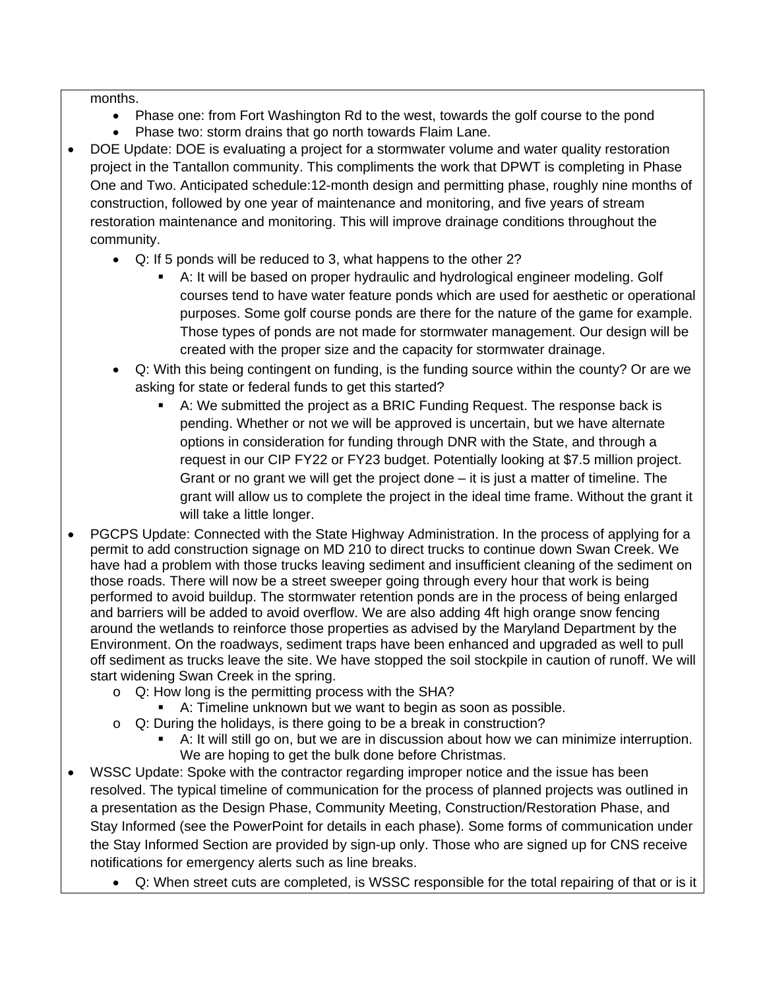months.

- Phase one: from Fort Washington Rd to the west, towards the golf course to the pond
- Phase two: storm drains that go north towards Flaim Lane.
- DOE Update: DOE is evaluating a project for a stormwater volume and water quality restoration project in the Tantallon community. This compliments the work that DPWT is completing in Phase One and Two. Anticipated schedule:12-month design and permitting phase, roughly nine months of construction, followed by one year of maintenance and monitoring, and five years of stream restoration maintenance and monitoring. This will improve drainage conditions throughout the community.
	- Q: If 5 ponds will be reduced to 3, what happens to the other 2?
		- A: It will be based on proper hydraulic and hydrological engineer modeling. Golf courses tend to have water feature ponds which are used for aesthetic or operational purposes. Some golf course ponds are there for the nature of the game for example. Those types of ponds are not made for stormwater management. Our design will be created with the proper size and the capacity for stormwater drainage.
	- Q: With this being contingent on funding, is the funding source within the county? Or are we asking for state or federal funds to get this started?
		- A: We submitted the project as a BRIC Funding Request. The response back is pending. Whether or not we will be approved is uncertain, but we have alternate options in consideration for funding through DNR with the State, and through a request in our CIP FY22 or FY23 budget. Potentially looking at \$7.5 million project. Grant or no grant we will get the project done – it is just a matter of timeline. The grant will allow us to complete the project in the ideal time frame. Without the grant it will take a little longer.
- PGCPS Update: Connected with the State Highway Administration. In the process of applying for a permit to add construction signage on MD 210 to direct trucks to continue down Swan Creek. We have had a problem with those trucks leaving sediment and insufficient cleaning of the sediment on those roads. There will now be a street sweeper going through every hour that work is being performed to avoid buildup. The stormwater retention ponds are in the process of being enlarged and barriers will be added to avoid overflow. We are also adding 4ft high orange snow fencing around the wetlands to reinforce those properties as advised by the Maryland Department by the Environment. On the roadways, sediment traps have been enhanced and upgraded as well to pull off sediment as trucks leave the site. We have stopped the soil stockpile in caution of runoff. We will start widening Swan Creek in the spring.
	- o Q: How long is the permitting process with the SHA?
		- A: Timeline unknown but we want to begin as soon as possible.
	- o Q: During the holidays, is there going to be a break in construction?
		- A: It will still go on, but we are in discussion about how we can minimize interruption. We are hoping to get the bulk done before Christmas.
- WSSC Update: Spoke with the contractor regarding improper notice and the issue has been resolved. The typical timeline of communication for the process of planned projects was outlined in a presentation as the Design Phase, Community Meeting, Construction/Restoration Phase, and Stay Informed (see the PowerPoint for details in each phase). Some forms of communication under the Stay Informed Section are provided by sign-up only. Those who are signed up for CNS receive notifications for emergency alerts such as line breaks.
	- Q: When street cuts are completed, is WSSC responsible for the total repairing of that or is it